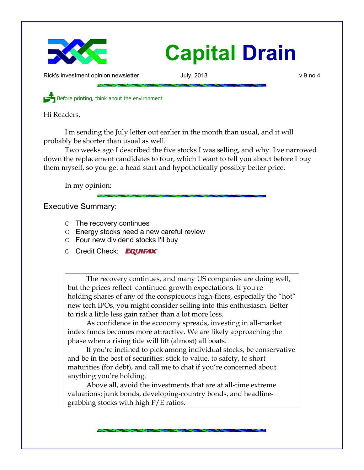

## **Capital Drain**

Rick's investment opinion newsletter **Accord Figure 3** July, 2013 **v.9** no.4

Before printing, think about the environment

Hi Readers,

I'm sending the July letter out earlier in the month than usual, and it will probably be shorter than usual as well.

Two weeks ago I described the five stocks I was selling, and why. I've narrowed down the replacement candidates to four, which I want to tell you about before I buy them myself, so you get a head start and hypothetically possibly better price.

In my opinion:

Executive Summary:

- The recovery continues
- Energy stocks need a new careful review
- $\circ$  Four new dividend stocks I'll buy
- O Credit Check: EQUIFAX®

The recovery continues, and many US companies are doing well, but the prices reflect continued growth expectations. If you're holding shares of any of the conspicuous high-fliers, especially the "hot" new tech IPOs, you might consider selling into this enthusiasm. Better to risk a little less gain rather than a lot more loss.

As confidence in the economy spreads, investing in all-market index funds becomes more attractive. We are likely approaching the phase when a rising tide will lift (almost) all boats.

If you're inclined to pick among individual stocks, be conservative and be in the best of securities: stick to value, to safety, to short maturities (for debt), and call me to chat if you're concerned about anything you're holding.

Above all, avoid the investments that are at all-time extreme valuations: junk bonds, developing-country bonds, and headlinegrabbing stocks with high P/E ratios.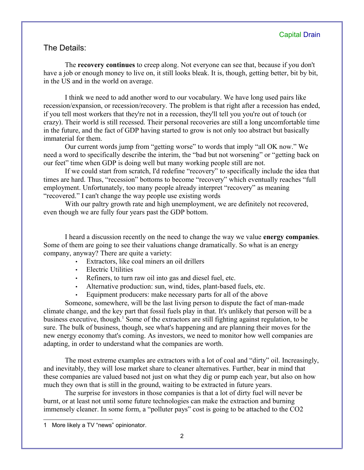## The Details:

The **recovery continues** to creep along. Not everyone can see that, because if you don't have a job or enough money to live on, it still looks bleak. It is, though, getting better, bit by bit, in the US and in the world on average.

I think we need to add another word to our vocabulary. We have long used pairs like recession/expansion, or recession/recovery. The problem is that right after a recession has ended, if you tell most workers that they're not in a recession, they'll tell you you're out of touch (or crazy). Their world is still recessed. Their personal recoveries are still a long uncomfortable time in the future, and the fact of GDP having started to grow is not only too abstract but basically immaterial for them.

Our current words jump from "getting worse" to words that imply "all OK now." We need a word to specifically describe the interim, the "bad but not worsening" or "getting back on our feet" time when GDP is doing well but many working people still are not.

If we could start from scratch, I'd redefine "recovery" to specifically include the idea that times are hard. Thus, "recession" bottoms to become "recovery" which eventually reaches "full employment. Unfortunately, too many people already interpret "recovery" as meaning "recovered." I can't change the way people use existing words

With our paltry growth rate and high unemployment, we are definitely not recovered, even though we are fully four years past the GDP bottom.

I heard a discussion recently on the need to change the way we value **energy companies**. Some of them are going to see their valuations change dramatically. So what is an energy company, anyway? There are quite a variety:

- Extractors, like coal miners an oil drillers
- Electric Utilities
- Refiners, to turn raw oil into gas and diesel fuel, etc.
- Alternative production: sun, wind, tides, plant-based fuels, etc.
- Equipment producers: make necessary parts for all of the above

Someone, somewhere, will be the last living person to dispute the fact of man-made climate change, and the key part that fossil fuels play in that. It's unlikely that person will be a business executive, though.<sup>[1](#page-1-0)</sup> Some of the extractors are still fighting against regulation, to be sure. The bulk of business, though, see what's happening and are planning their moves for the new energy economy that's coming. As investors, we need to monitor how well companies are adapting, in order to understand what the companies are worth.

The most extreme examples are extractors with a lot of coal and "dirty" oil. Increasingly, and inevitably, they will lose market share to cleaner alternatives. Further, bear in mind that these companies are valued based not just on what they dig or pump each year, but also on how much they own that is still in the ground, waiting to be extracted in future years.

The surprise for investors in those companies is that a lot of dirty fuel will never be burnt, or at least not until some future technologies can make the extraction and burning immensely cleaner. In some form, a "polluter pays" cost is going to be attached to the CO2

<span id="page-1-0"></span><sup>1</sup> More likely a TV "news" opinionator.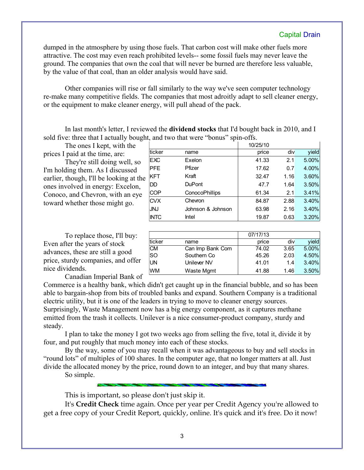## Capital Drain

dumped in the atmosphere by using those fuels. That carbon cost will make other fuels more attractive. The cost may even reach prohibited levels-- some fossil fuels may never leave the ground. The companies that own the coal that will never be burned are therefore less valuable, by the value of that coal, than an older analysis would have said.

Other companies will rise or fall similarly to the way we've seen computer technology re-make many competitive fields. The companies that most adroitly adapt to sell cleaner energy, or the equipment to make cleaner energy, will pull ahead of the pack.

In last month's letter, I reviewed the **dividend stocks** that I'd bought back in 2010, and I sold five: three that I actually bought, and two that were "bonus" spin-offs.

The ones I kept, with the prices I paid at the time, are:

They're still doing well, so I'm holding them. As I discussed earlier, though, I'll be looking at the ones involved in energy: Excelon, Conoco, and Chevron, with an eye toward whether those might go.

|             |                       | 10/25/10 |      |       |
|-------------|-----------------------|----------|------|-------|
| ticker      | name                  | price    | div  | yield |
| EXC         | Exelon                | 41.33    | 2.1  | 5.00% |
| <b>PFE</b>  | Pfizer                | 17.62    | 0.7  | 4.00% |
| <b>KFT</b>  | Kraft                 | 32.47    | 1.16 | 3.60% |
| DD          | <b>DuPont</b>         | 47.7     | 1.64 | 3.50% |
| <b>COP</b>  | <b>ConocoPhillips</b> | 61.34    | 2.1  | 3.41% |
| <b>CVX</b>  | Chevron               | 84.87    | 2.88 | 3.40% |
| <b>JNJ</b>  | Johnson & Johnson     | 63.98    | 2.16 | 3.40% |
| <b>INTC</b> | Intel                 | 19.87    | 0.63 | 3.20% |

To replace those, I'll buy: Even after the years of stock advances, these are still a good price, sturdy companies, and offer nice dividends.

|           |                  | 07/17/13 |      |       |
|-----------|------------------|----------|------|-------|
| ticker    | name             | price    | div  | vield |
| <b>CM</b> | Can Imp Bank Com | 74.02    | 3.65 | 5.00% |
| <b>SO</b> | Southern Co      | 45.26    | 2.03 | 4.50% |
| UN        | Unilever NV      | 41.01    | 1.4  | 3.40% |
| <b>WM</b> | Waste Mgmt       | 41.88    | 1.46 | 3.50% |

Canadian Imperial Bank of

Commerce is a healthy bank, which didn't get caught up in the financial bubble, and so has been able to bargain-shop from bits of troubled banks and expand. Southern Company is a traditional electric utility, but it is one of the leaders in trying to move to cleaner energy sources. Surprisingly, Waste Management now has a big energy component, as it captures methane emitted from the trash it collects. Unilever is a nice consumer-product company, sturdy and

steady.

I plan to take the money I got two weeks ago from selling the five, total it, divide it by four, and put roughly that much money into each of these stocks.

By the way, some of you may recall when it was advantageous to buy and sell stocks in "round lots" of multiples of 100 shares. In the computer age, that no longer matters at all. Just divide the allocated money by the price, round down to an integer, and buy that many shares.

So simple.

This is important, so please don't just skip it.

It's **Credit Check** time again. Once per year per Credit Agency you're allowed to get a free copy of your Credit Report, quickly, online. It's quick and it's free. Do it now!